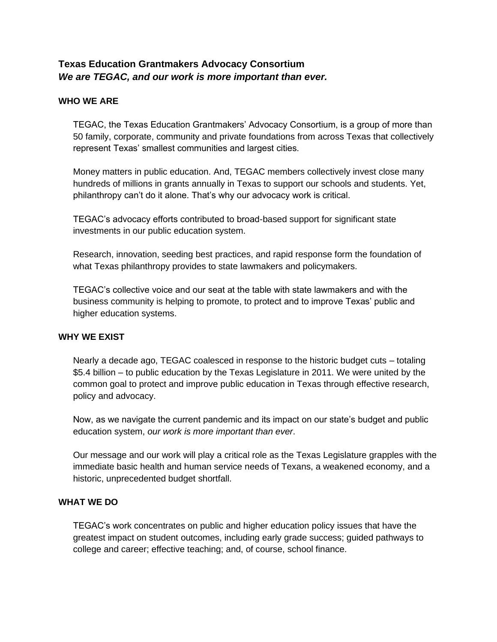# **Texas Education Grantmakers Advocacy Consortium** *We are TEGAC, and our work is more important than ever.*

# **WHO WE ARE**

TEGAC, the Texas Education Grantmakers' Advocacy Consortium, is a group of more than 50 family, corporate, community and private foundations from across Texas that collectively represent Texas' smallest communities and largest cities.

Money matters in public education. And, TEGAC members collectively invest close many hundreds of millions in grants annually in Texas to support our schools and students. Yet, philanthropy can't do it alone. That's why our advocacy work is critical.

TEGAC's advocacy efforts contributed to broad-based support for significant state investments in our public education system.

Research, innovation, seeding best practices, and rapid response form the foundation of what Texas philanthropy provides to state lawmakers and policymakers.

TEGAC's collective voice and our seat at the table with state lawmakers and with the business community is helping to promote, to protect and to improve Texas' public and higher education systems.

### **WHY WE EXIST**

Nearly a decade ago, TEGAC coalesced in response to the historic budget cuts – totaling \$5.4 billion – to public education by the Texas Legislature in 2011. We were united by the common goal to protect and improve public education in Texas through effective research, policy and advocacy.

Now, as we navigate the current pandemic and its impact on our state's budget and public education system, *our work is more important than ever*.

Our message and our work will play a critical role as the Texas Legislature grapples with the immediate basic health and human service needs of Texans, a weakened economy, and a historic, unprecedented budget shortfall.

### **WHAT WE DO**

TEGAC's work concentrates on public and higher education policy issues that have the greatest impact on student outcomes, including early grade success; guided pathways to college and career; effective teaching; and, of course, school finance.